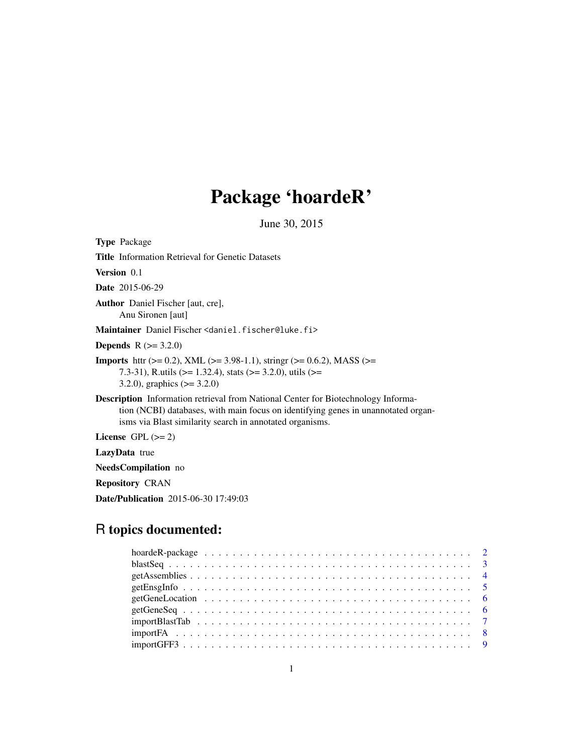# Package 'hoardeR'

June 30, 2015

Type Package Title Information Retrieval for Genetic Datasets Version 0.1 Date 2015-06-29 Author Daniel Fischer [aut, cre], Anu Sironen [aut] Maintainer Daniel Fischer <daniel.fischer@luke.fi> **Depends**  $R$  ( $>= 3.2.0$ ) **Imports** httr ( $>= 0.2$ ), XML ( $>= 3.98-1.1$ ), stringr ( $>= 0.6.2$ ), MASS ( $>=$ 7.3-31), R.utils (>= 1.32.4), stats (>= 3.2.0), utils (>= 3.2.0), graphics (>= 3.2.0) Description Information retrieval from National Center for Biotechnology Information (NCBI) databases, with main focus on identifying genes in unannotated organisms via Blast similarity search in annotated organisms. License GPL  $(>= 2)$ LazyData true

NeedsCompilation no

Repository CRAN

Date/Publication 2015-06-30 17:49:03

# R topics documented: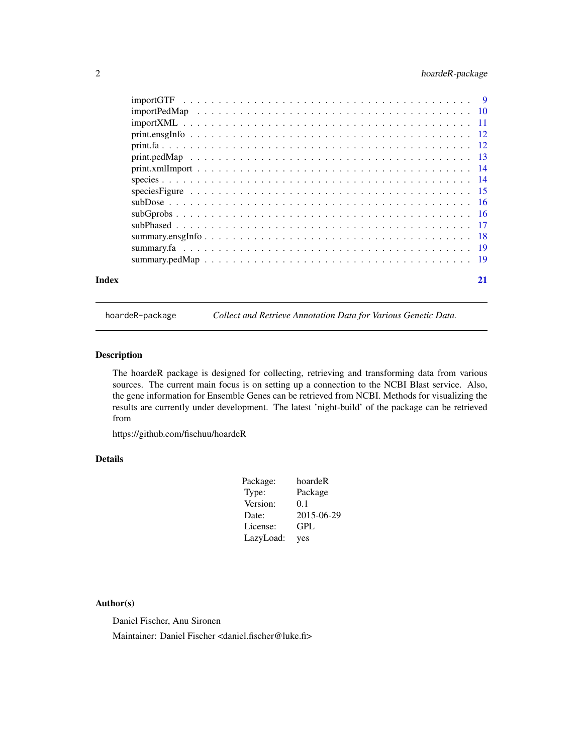# <span id="page-1-0"></span>2 hoardeR-package

| Index | 21 |
|-------|----|
|       |    |
|       |    |
|       |    |
|       |    |
|       |    |
|       |    |
|       |    |
|       |    |
|       |    |
|       |    |
|       |    |
|       |    |
|       |    |
|       |    |
|       |    |

hoardeR-package *Collect and Retrieve Annotation Data for Various Genetic Data.*

# Description

The hoardeR package is designed for collecting, retrieving and transforming data from various sources. The current main focus is on setting up a connection to the NCBI Blast service. Also, the gene information for Ensemble Genes can be retrieved from NCBI. Methods for visualizing the results are currently under development. The latest 'night-build' of the package can be retrieved from

https://github.com/fischuu/hoardeR

# Details

| Package:  | hoardeR    |
|-----------|------------|
| Type:     | Package    |
| Version:  | 0.1        |
| Date:     | 2015-06-29 |
| License:  | GPL        |
| LazyLoad: | yes        |

#### Author(s)

Daniel Fischer, Anu Sironen

Maintainer: Daniel Fischer <daniel.fischer@luke.fi>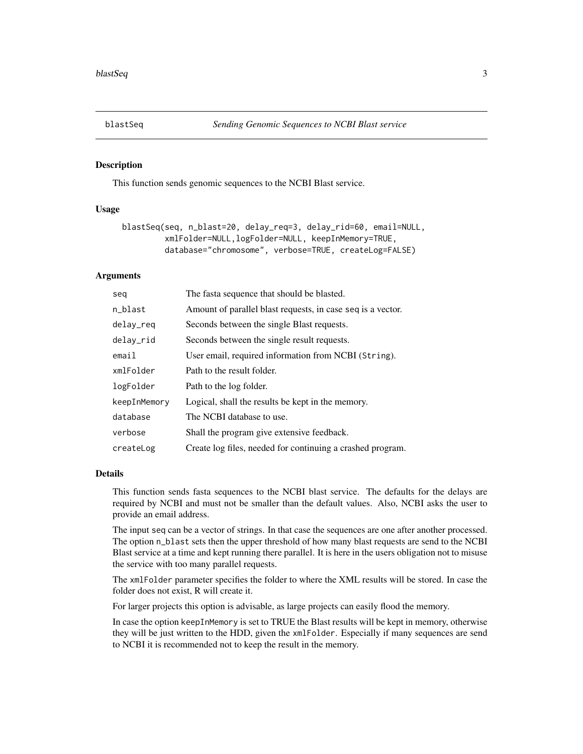<span id="page-2-0"></span>

This function sends genomic sequences to the NCBI Blast service.

# Usage

```
blastSeq(seq, n_blast=20, delay_req=3, delay_rid=60, email=NULL,
         xmlFolder=NULL,logFolder=NULL, keepInMemory=TRUE,
         database="chromosome", verbose=TRUE, createLog=FALSE)
```
#### Arguments

| seg          | The fasta sequence that should be blasted.                  |
|--------------|-------------------------------------------------------------|
| n_blast      | Amount of parallel blast requests, in case seq is a vector. |
| delay_req    | Seconds between the single Blast requests.                  |
| delay_rid    | Seconds between the single result requests.                 |
| email        | User email, required information from NCBI (String).        |
| xmlFolder    | Path to the result folder.                                  |
| logFolder    | Path to the log folder.                                     |
| keepInMemory | Logical, shall the results be kept in the memory.           |
| database     | The NCBI database to use.                                   |
| verbose      | Shall the program give extensive feedback.                  |
| createLog    | Create log files, needed for continuing a crashed program.  |

#### Details

This function sends fasta sequences to the NCBI blast service. The defaults for the delays are required by NCBI and must not be smaller than the default values. Also, NCBI asks the user to provide an email address.

The input seq can be a vector of strings. In that case the sequences are one after another processed. The option n\_blast sets then the upper threshold of how many blast requests are send to the NCBI Blast service at a time and kept running there parallel. It is here in the users obligation not to misuse the service with too many parallel requests.

The xmlFolder parameter specifies the folder to where the XML results will be stored. In case the folder does not exist, R will create it.

For larger projects this option is advisable, as large projects can easily flood the memory.

In case the option keepInMemory is set to TRUE the Blast results will be kept in memory, otherwise they will be just written to the HDD, given the xmlFolder. Especially if many sequences are send to NCBI it is recommended not to keep the result in the memory.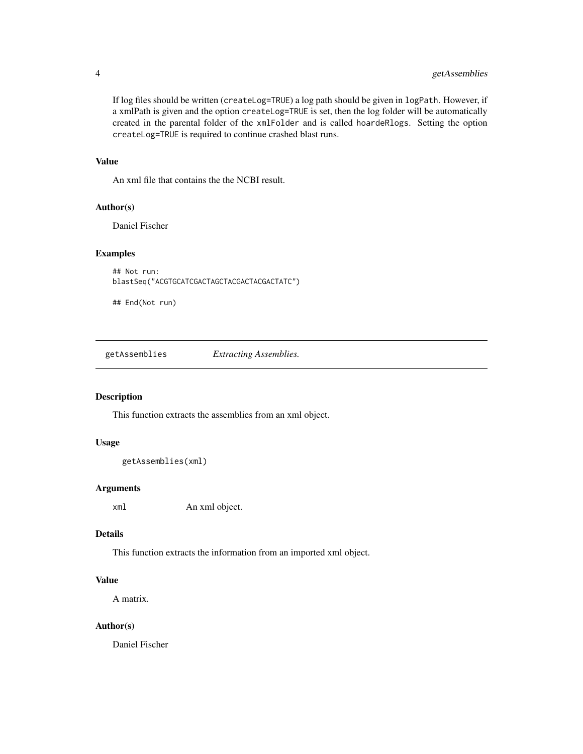<span id="page-3-0"></span>If log files should be written (createLog=TRUE) a log path should be given in logPath. However, if a xmlPath is given and the option createLog=TRUE is set, then the log folder will be automatically created in the parental folder of the xmlFolder and is called hoardeRlogs. Setting the option createLog=TRUE is required to continue crashed blast runs.

# Value

An xml file that contains the the NCBI result.

# Author(s)

Daniel Fischer

#### Examples

```
## Not run:
blastSeq("ACGTGCATCGACTAGCTACGACTACGACTATC")
```
## End(Not run)

getAssemblies *Extracting Assemblies.*

#### Description

This function extracts the assemblies from an xml object.

#### Usage

```
getAssemblies(xml)
```
#### Arguments

xml An xml object.

#### Details

This function extracts the information from an imported xml object.

#### Value

A matrix.

#### Author(s)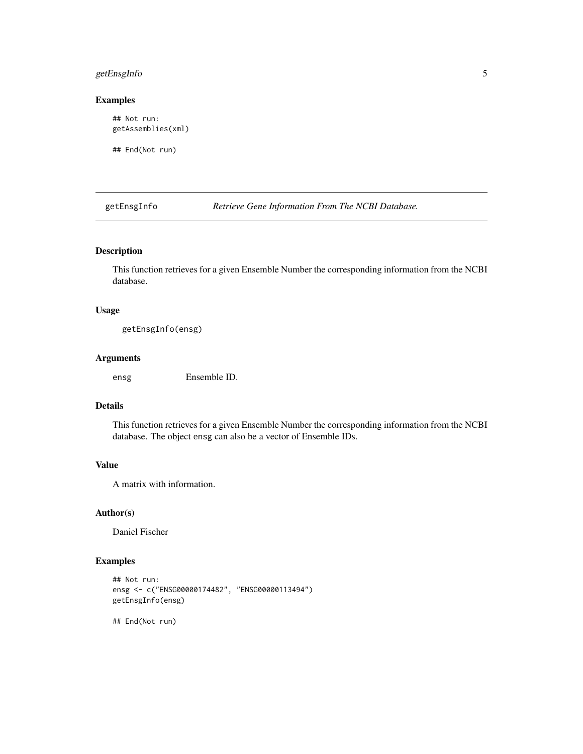# <span id="page-4-0"></span>getEnsgInfo 5

#### Examples

## Not run: getAssemblies(xml)

## End(Not run)

getEnsgInfo *Retrieve Gene Information From The NCBI Database.*

# Description

This function retrieves for a given Ensemble Number the corresponding information from the NCBI database.

# Usage

getEnsgInfo(ensg)

#### Arguments

ensg Ensemble ID.

#### Details

This function retrieves for a given Ensemble Number the corresponding information from the NCBI database. The object ensg can also be a vector of Ensemble IDs.

# Value

A matrix with information.

# Author(s)

Daniel Fischer

# Examples

```
## Not run:
ensg <- c("ENSG00000174482", "ENSG00000113494")
getEnsgInfo(ensg)
```
## End(Not run)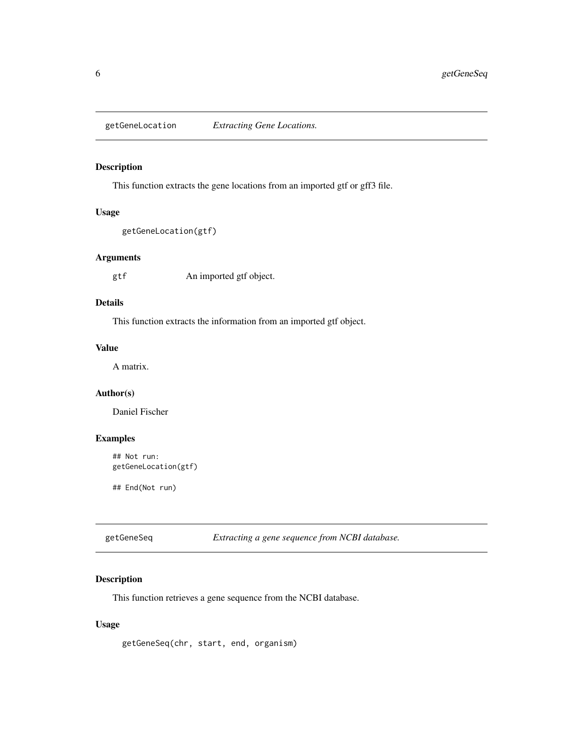<span id="page-5-0"></span>getGeneLocation *Extracting Gene Locations.*

# Description

This function extracts the gene locations from an imported gtf or gff3 file.

#### Usage

```
getGeneLocation(gtf)
```
#### Arguments

gtf An imported gtf object.

#### Details

This function extracts the information from an imported gtf object.

# Value

A matrix.

# Author(s)

Daniel Fischer

# Examples

```
## Not run:
getGeneLocation(gtf)
```
## End(Not run)

getGeneSeq *Extracting a gene sequence from NCBI database.*

# Description

This function retrieves a gene sequence from the NCBI database.

#### Usage

getGeneSeq(chr, start, end, organism)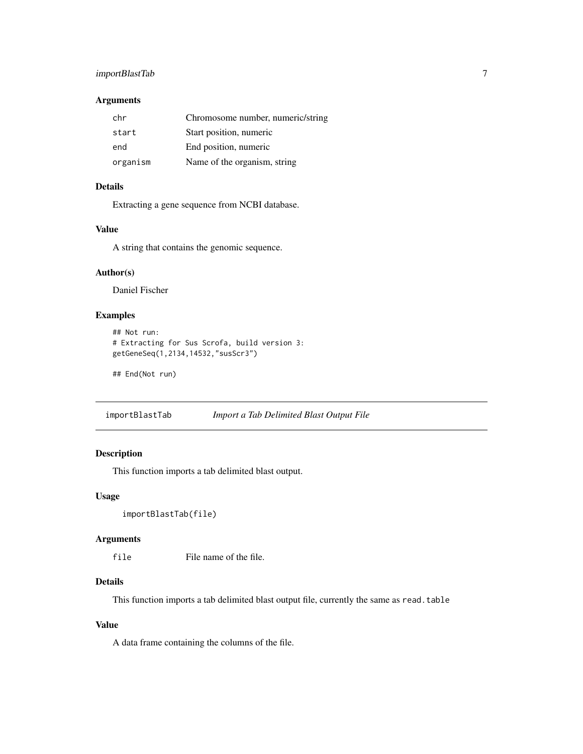# <span id="page-6-0"></span>importBlastTab 7

#### Arguments

| chr      | Chromosome number, numeric/string |
|----------|-----------------------------------|
| start    | Start position, numeric           |
| end      | End position, numeric             |
| organism | Name of the organism, string      |

# Details

Extracting a gene sequence from NCBI database.

#### Value

A string that contains the genomic sequence.

# Author(s)

Daniel Fischer

# Examples

```
## Not run:
# Extracting for Sus Scrofa, build version 3:
getGeneSeq(1,2134,14532,"susScr3")
```
## End(Not run)

importBlastTab *Import a Tab Delimited Blast Output File*

# Description

This function imports a tab delimited blast output.

#### Usage

```
importBlastTab(file)
```
# Arguments

file File name of the file.

# Details

This function imports a tab delimited blast output file, currently the same as read.table

# Value

A data frame containing the columns of the file.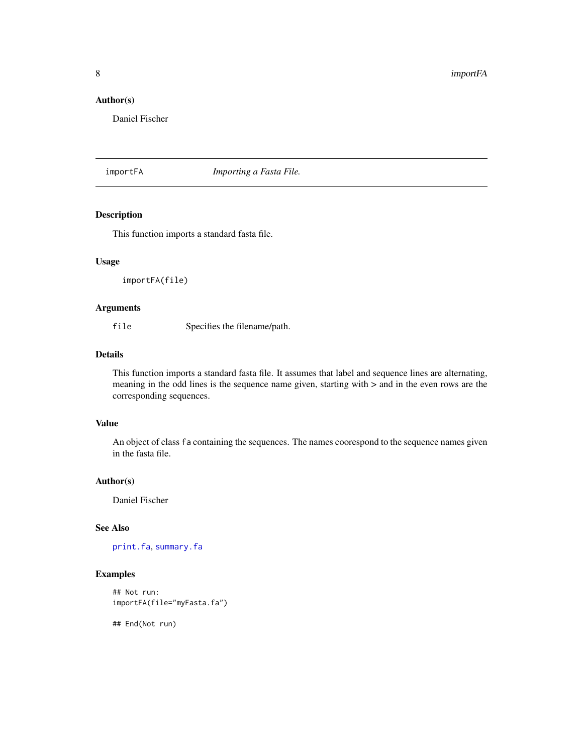#### <span id="page-7-0"></span>Author(s)

Daniel Fischer

importFA *Importing a Fasta File.*

# **Description**

This function imports a standard fasta file.

# Usage

importFA(file)

#### Arguments

file Specifies the filename/path.

#### Details

This function imports a standard fasta file. It assumes that label and sequence lines are alternating, meaning in the odd lines is the sequence name given, starting with > and in the even rows are the corresponding sequences.

# Value

An object of class fa containing the sequences. The names coorespond to the sequence names given in the fasta file.

#### Author(s)

Daniel Fischer

#### See Also

[print.fa](#page-11-1), [summary.fa](#page-18-1)

#### Examples

```
## Not run:
importFA(file="myFasta.fa")
```
## End(Not run)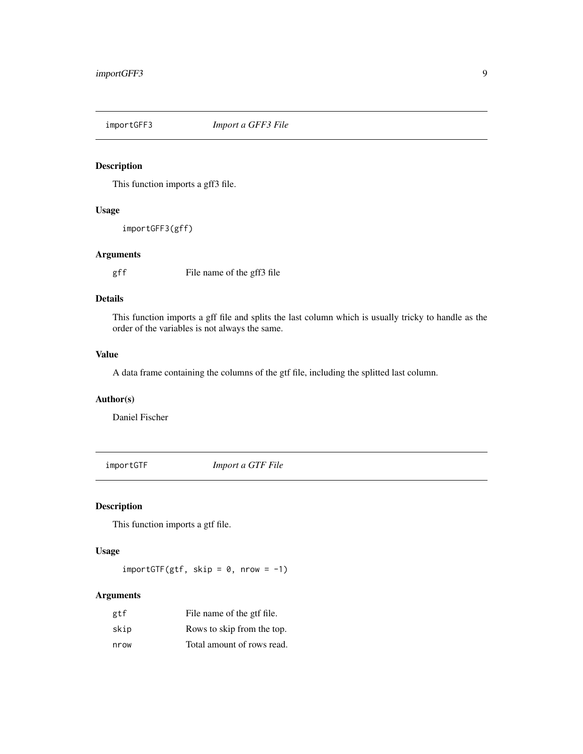<span id="page-8-0"></span>

This function imports a gff3 file.

# Usage

importGFF3(gff)

#### Arguments

gff File name of the gff3 file

# Details

This function imports a gff file and splits the last column which is usually tricky to handle as the order of the variables is not always the same.

#### Value

A data frame containing the columns of the gtf file, including the splitted last column.

# Author(s)

Daniel Fischer

importGTF *Import a GTF File*

# Description

This function imports a gtf file.

# Usage

 $import$ GTF(gtf, skip = 0, nrow = -1)

#### Arguments

| gtf  | File name of the gtf file. |
|------|----------------------------|
| skip | Rows to skip from the top. |
| nrow | Total amount of rows read. |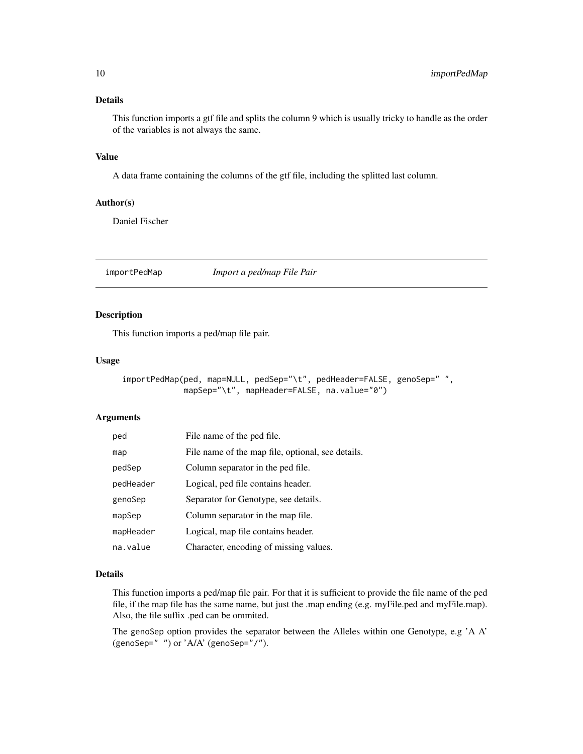#### <span id="page-9-0"></span>Details

This function imports a gtf file and splits the column 9 which is usually tricky to handle as the order of the variables is not always the same.

#### Value

A data frame containing the columns of the gtf file, including the splitted last column.

#### Author(s)

Daniel Fischer

importPedMap *Import a ped/map File Pair*

# Description

This function imports a ped/map file pair.

#### Usage

```
importPedMap(ped, map=NULL, pedSep="\t", pedHeader=FALSE, genoSep="",
            mapSep="\t", mapHeader=FALSE, na.value="0")
```
#### Arguments

| ped       | File name of the ped file.                        |
|-----------|---------------------------------------------------|
| map       | File name of the map file, optional, see details. |
| pedSep    | Column separator in the ped file.                 |
| pedHeader | Logical, ped file contains header.                |
| genoSep   | Separator for Genotype, see details.              |
| mapSep    | Column separator in the map file.                 |
| mapHeader | Logical, map file contains header.                |
| na.value  | Character, encoding of missing values.            |

#### Details

This function imports a ped/map file pair. For that it is sufficient to provide the file name of the ped file, if the map file has the same name, but just the .map ending (e.g. myFile.ped and myFile.map). Also, the file suffix .ped can be ommited.

The genoSep option provides the separator between the Alleles within one Genotype, e.g 'A A' (genoSep=" ") or 'A/A' (genoSep="/").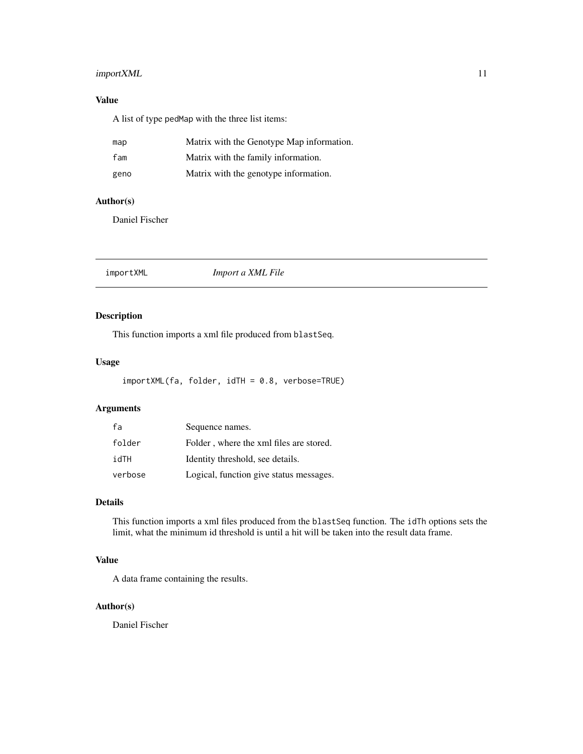# <span id="page-10-0"></span>importXML 11

# Value

A list of type pedMap with the three list items:

| map  | Matrix with the Genotype Map information. |
|------|-------------------------------------------|
| fam  | Matrix with the family information.       |
| geno | Matrix with the genotype information.     |

#### Author(s)

Daniel Fischer

# Description

This function imports a xml file produced from blastSeq.

# Usage

```
importXML(fa, folder, idTH = 0.8, verbose=TRUE)
```
# Arguments

| fa      | Sequence names.                         |
|---------|-----------------------------------------|
| folder  | Folder, where the xml files are stored. |
| idTH    | Identity threshold, see details.        |
| verbose | Logical, function give status messages. |

# Details

This function imports a xml files produced from the blastSeq function. The idTh options sets the limit, what the minimum id threshold is until a hit will be taken into the result data frame.

# Value

A data frame containing the results.

# Author(s)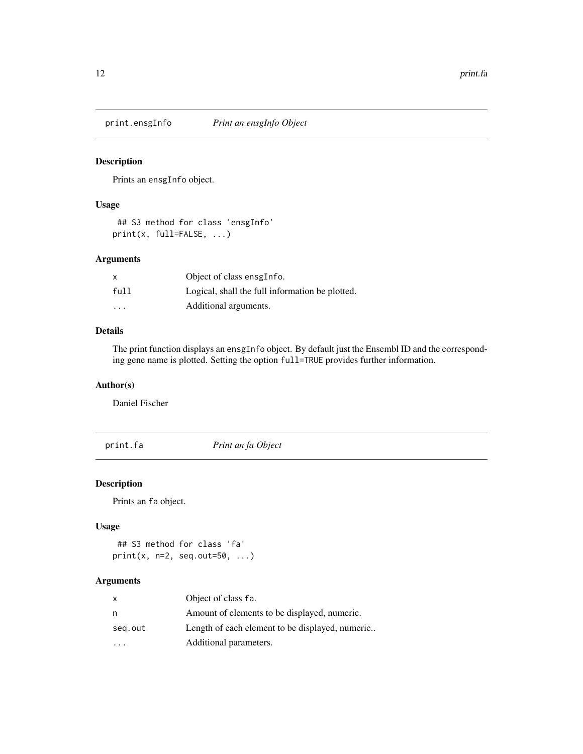<span id="page-11-0"></span>

Prints an ensgInfo object.

#### Usage

## S3 method for class 'ensgInfo' print(x, full=FALSE, ...)

#### Arguments

| $\mathsf{x}$ | Object of class ensgInfo.                       |
|--------------|-------------------------------------------------|
| full         | Logical, shall the full information be plotted. |
| .            | Additional arguments.                           |

# Details

The print function displays an ensgInfo object. By default just the Ensembl ID and the corresponding gene name is plotted. Setting the option full=TRUE provides further information.

# Author(s)

Daniel Fischer

<span id="page-11-1"></span>print.fa *Print an fa Object*

# Description

Prints an fa object.

#### Usage

```
## S3 method for class 'fa'
print(x, n=2, seq.out=50, ...)
```
# Arguments

| X       | Object of class fa.                             |
|---------|-------------------------------------------------|
| n       | Amount of elements to be displayed, numeric.    |
| seg.out | Length of each element to be displayed, numeric |
|         | Additional parameters.                          |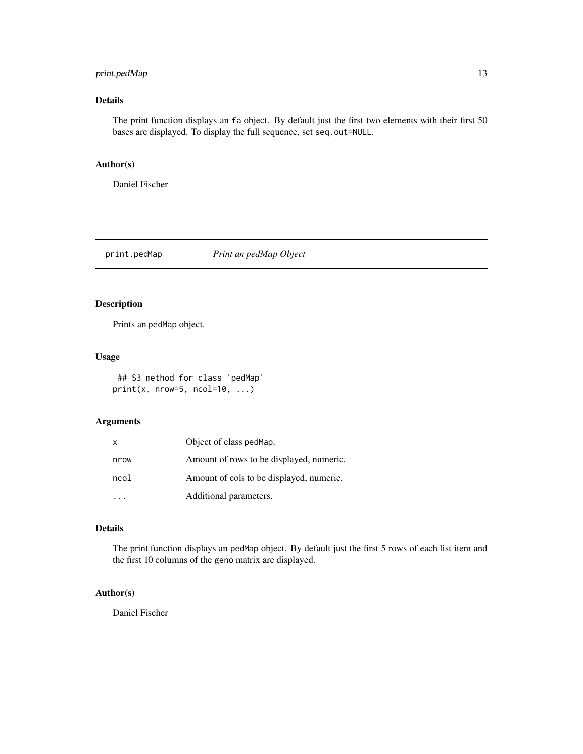# <span id="page-12-0"></span>print.pedMap 13

# Details

The print function displays an fa object. By default just the first two elements with their first 50 bases are displayed. To display the full sequence, set seq.out=NULL.

#### Author(s)

Daniel Fischer

print.pedMap *Print an pedMap Object*

# Description

Prints an pedMap object.

#### Usage

## S3 method for class 'pedMap' print(x, nrow=5, ncol=10,  $\ldots$ )

#### Arguments

| X    | Object of class pedMap.                  |
|------|------------------------------------------|
| nrow | Amount of rows to be displayed, numeric. |
| ncol | Amount of cols to be displayed, numeric. |
|      | Additional parameters.                   |

#### Details

The print function displays an pedMap object. By default just the first 5 rows of each list item and the first 10 columns of the geno matrix are displayed.

# Author(s)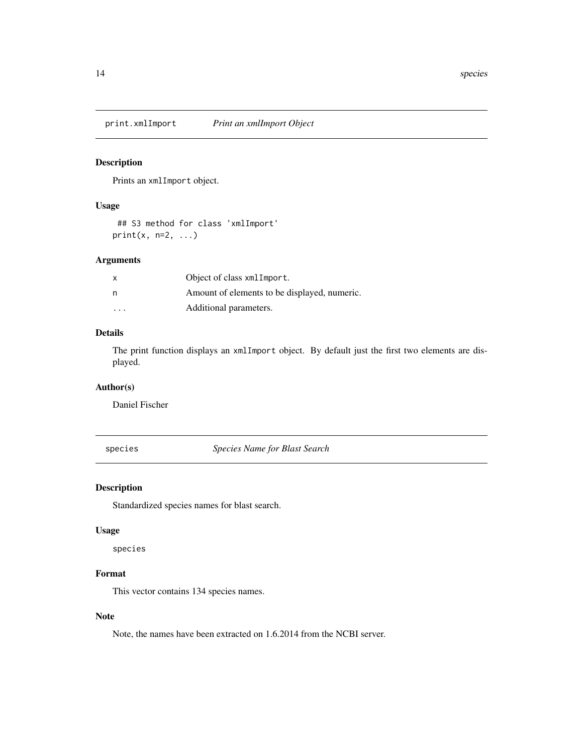<span id="page-13-0"></span>print.xmlImport *Print an xmlImport Object*

#### Description

Prints an xmlImport object.

#### Usage

## S3 method for class 'xmlImport' print(x,  $n=2, ...$ )

#### Arguments

| X | Object of class xmlImport.                   |
|---|----------------------------------------------|
| n | Amount of elements to be displayed, numeric. |
| . | Additional parameters.                       |

# Details

The print function displays an xmlImport object. By default just the first two elements are displayed.

# Author(s)

Daniel Fischer

species *Species Name for Blast Search*

# Description

Standardized species names for blast search.

# Usage

species

# Format

This vector contains 134 species names.

#### Note

Note, the names have been extracted on 1.6.2014 from the NCBI server.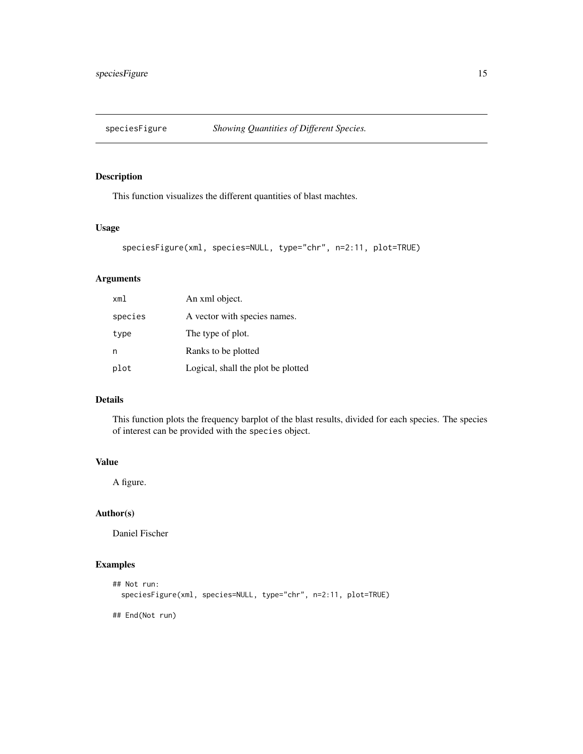<span id="page-14-0"></span>

This function visualizes the different quantities of blast machtes.

#### Usage

```
speciesFigure(xml, species=NULL, type="chr", n=2:11, plot=TRUE)
```
# Arguments

| xml     | An xml object.                     |
|---------|------------------------------------|
| species | A vector with species names.       |
| type    | The type of plot.                  |
| n       | Ranks to be plotted                |
| plot    | Logical, shall the plot be plotted |

# Details

This function plots the frequency barplot of the blast results, divided for each species. The species of interest can be provided with the species object.

#### Value

A figure.

# Author(s)

Daniel Fischer

# Examples

```
## Not run:
  speciesFigure(xml, species=NULL, type="chr", n=2:11, plot=TRUE)
```
## End(Not run)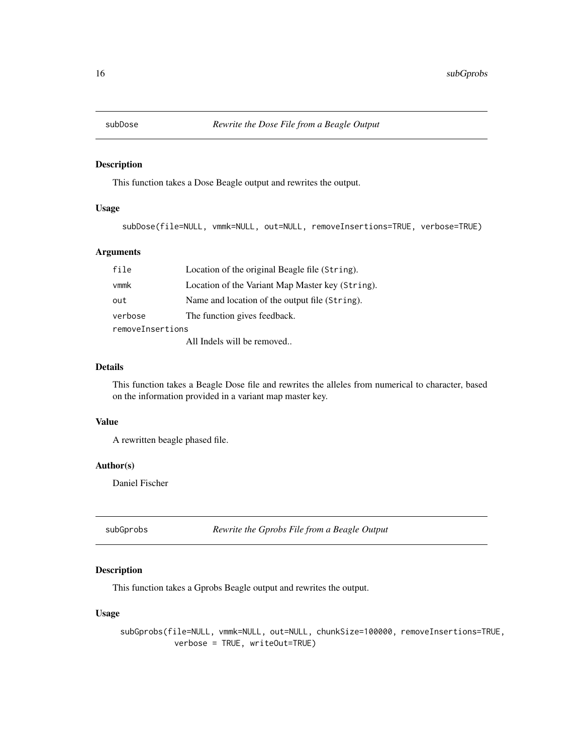<span id="page-15-0"></span>

This function takes a Dose Beagle output and rewrites the output.

#### Usage

subDose(file=NULL, vmmk=NULL, out=NULL, removeInsertions=TRUE, verbose=TRUE)

# Arguments

| file                       | Location of the original Beagle file (String).   |  |
|----------------------------|--------------------------------------------------|--|
| vmmk                       | Location of the Variant Map Master key (String). |  |
| out                        | Name and location of the output file (String).   |  |
| verbose                    | The function gives feedback.                     |  |
| removeInsertions           |                                                  |  |
| All Indels will be removed |                                                  |  |

#### Details

This function takes a Beagle Dose file and rewrites the alleles from numerical to character, based on the information provided in a variant map master key.

#### Value

A rewritten beagle phased file.

#### Author(s)

Daniel Fischer

subGprobs *Rewrite the Gprobs File from a Beagle Output*

# Description

This function takes a Gprobs Beagle output and rewrites the output.

# Usage

subGprobs(file=NULL, vmmk=NULL, out=NULL, chunkSize=100000, removeInsertions=TRUE, verbose = TRUE, writeOut=TRUE)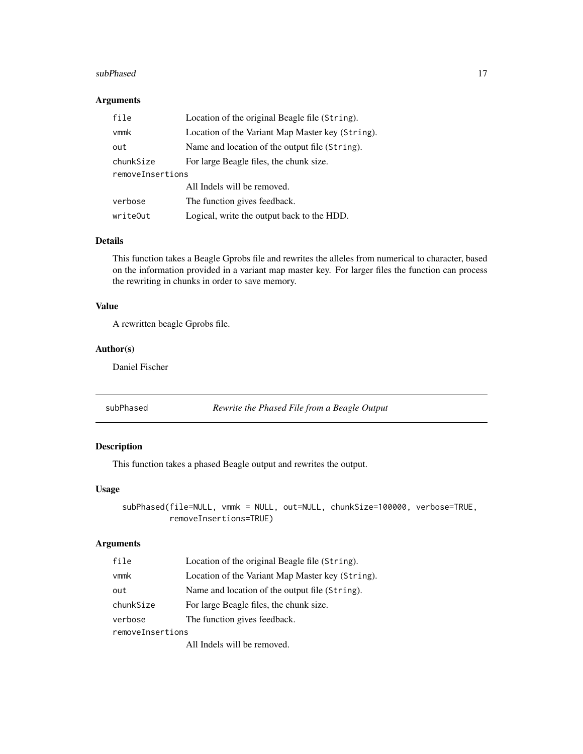#### <span id="page-16-0"></span>subPhased 27 and 27 and 27 and 27 and 27 and 27 and 27 and 27 and 27 and 27 and 27 and 27 and 27 and 27 and 27

#### Arguments

| file             | Location of the original Beagle file (String).   |
|------------------|--------------------------------------------------|
| vmmk             | Location of the Variant Map Master key (String). |
| out              | Name and location of the output file (String).   |
| chunkSize        | For large Beagle files, the chunk size.          |
| removeInsertions |                                                  |
|                  | All Indels will be removed.                      |
| verbose          | The function gives feedback.                     |
| writeOut         | Logical, write the output back to the HDD.       |

#### Details

This function takes a Beagle Gprobs file and rewrites the alleles from numerical to character, based on the information provided in a variant map master key. For larger files the function can process the rewriting in chunks in order to save memory.

#### Value

A rewritten beagle Gprobs file.

#### Author(s)

Daniel Fischer

subPhased *Rewrite the Phased File from a Beagle Output*

# Description

This function takes a phased Beagle output and rewrites the output.

#### Usage

```
subPhased(file=NULL, vmmk = NULL, out=NULL, chunkSize=100000, verbose=TRUE,
         removeInsertions=TRUE)
```
# Arguments

| file             | Location of the original Beagle file (String).   |
|------------------|--------------------------------------------------|
| $v$ mm $k$       | Location of the Variant Map Master key (String). |
| out              | Name and location of the output file (String).   |
| chunkSize        | For large Beagle files, the chunk size.          |
| verbose          | The function gives feedback.                     |
| removeInsertions |                                                  |
|                  | All Indels will be removed                       |

All Indels will be removed.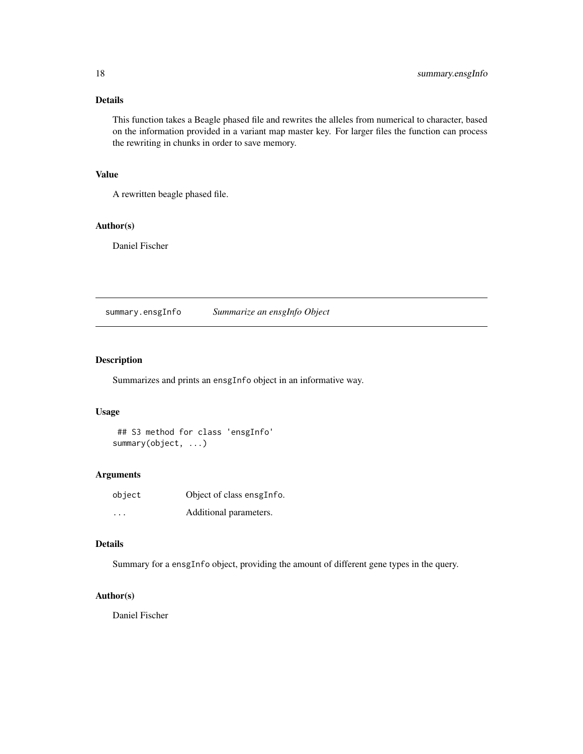# <span id="page-17-0"></span>Details

This function takes a Beagle phased file and rewrites the alleles from numerical to character, based on the information provided in a variant map master key. For larger files the function can process the rewriting in chunks in order to save memory.

#### Value

A rewritten beagle phased file.

# Author(s)

Daniel Fischer

summary.ensgInfo *Summarize an ensgInfo Object*

# Description

Summarizes and prints an ensgInfo object in an informative way.

#### Usage

## S3 method for class 'ensgInfo' summary(object, ...)

#### Arguments

| object | Object of class ensgInfo. |
|--------|---------------------------|
| .      | Additional parameters.    |

#### Details

Summary for a ensgInfo object, providing the amount of different gene types in the query.

# Author(s)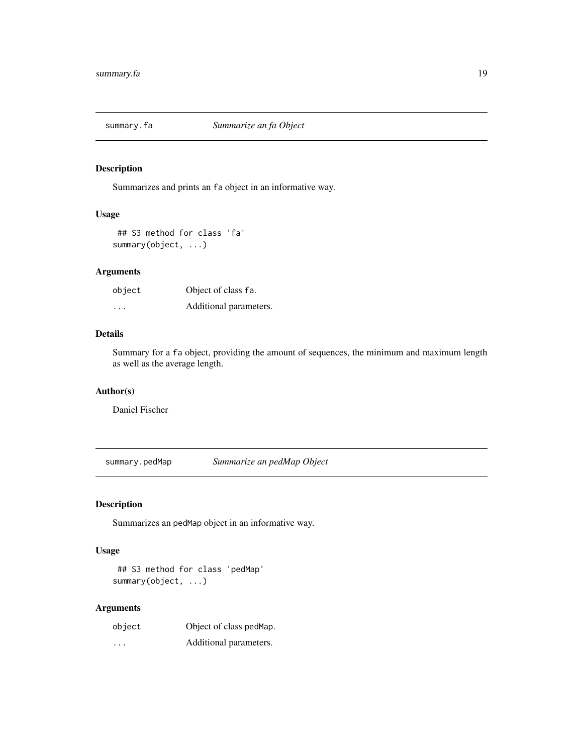<span id="page-18-1"></span><span id="page-18-0"></span>

Summarizes and prints an fa object in an informative way.

# Usage

## S3 method for class 'fa' summary(object, ...)

# Arguments

| object  | Object of class fa.    |
|---------|------------------------|
| $\cdot$ | Additional parameters. |

#### Details

Summary for a fa object, providing the amount of sequences, the minimum and maximum length as well as the average length.

#### Author(s)

Daniel Fischer

summary.pedMap *Summarize an pedMap Object*

# Description

Summarizes an pedMap object in an informative way.

# Usage

```
## S3 method for class 'pedMap'
summary(object, ...)
```
#### Arguments

| object | Object of class pedMap. |
|--------|-------------------------|
| .      | Additional parameters.  |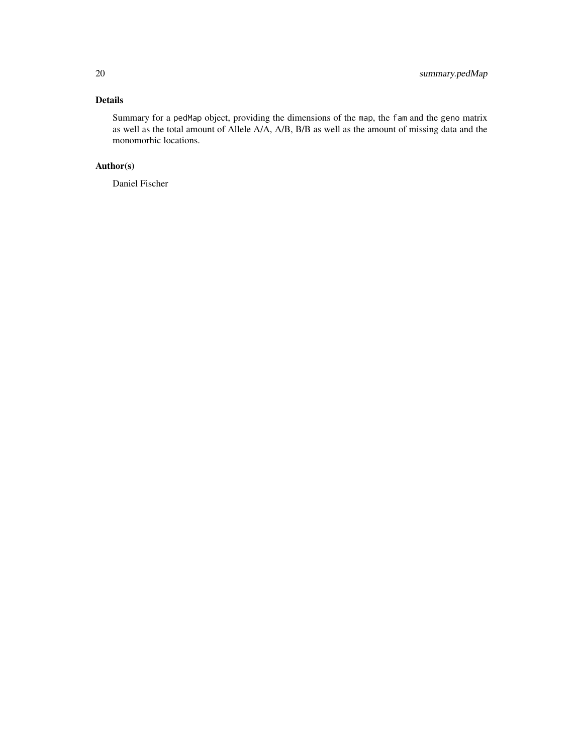# Details

Summary for a pedMap object, providing the dimensions of the map, the fam and the geno matrix as well as the total amount of Allele A/A, A/B, B/B as well as the amount of missing data and the monomorhic locations.

# Author(s)